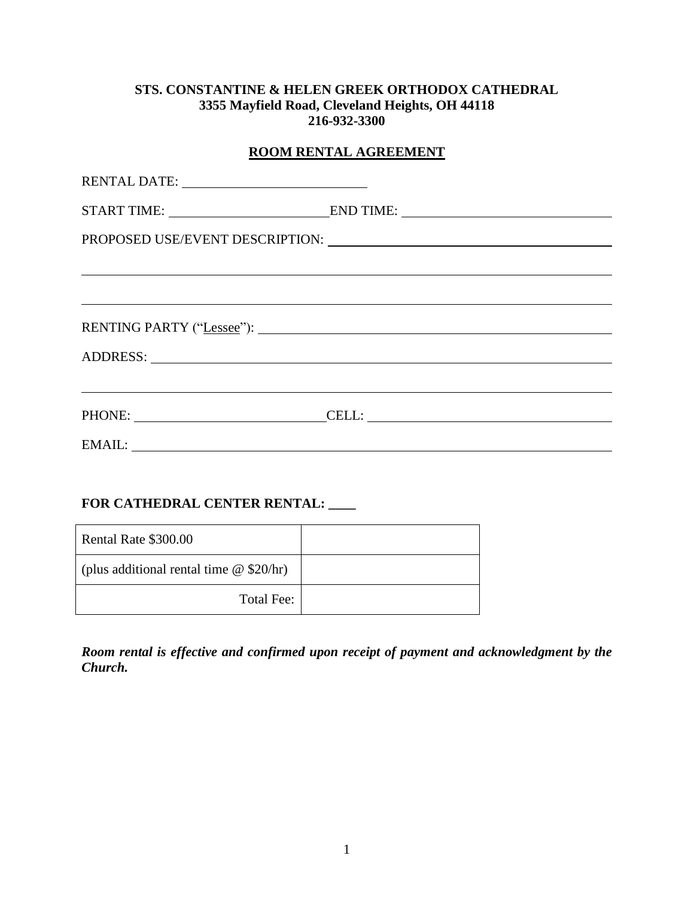#### **STS. CONSTANTINE & HELEN GREEK ORTHODOX CATHEDRAL 3355 Mayfield Road, Cleveland Heights, OH 44118 216-932-3300**

| ROOM RENTAL AGREEMENT |                                                                                                                                                                                                                                |  |
|-----------------------|--------------------------------------------------------------------------------------------------------------------------------------------------------------------------------------------------------------------------------|--|
|                       |                                                                                                                                                                                                                                |  |
|                       |                                                                                                                                                                                                                                |  |
|                       |                                                                                                                                                                                                                                |  |
|                       |                                                                                                                                                                                                                                |  |
|                       |                                                                                                                                                                                                                                |  |
|                       |                                                                                                                                                                                                                                |  |
|                       | ADDRESS: New York Contract the Contract of the Contract of the Contract of the Contract of the Contract of the Contract of the Contract of the Contract of the Contract of the Contract of the Contract of the Contract of the |  |
|                       |                                                                                                                                                                                                                                |  |
|                       | PHONE: CELL:                                                                                                                                                                                                                   |  |
|                       |                                                                                                                                                                                                                                |  |

## **FOR CATHEDRAL CENTER RENTAL: \_\_\_\_**

| Rental Rate \$300.00                           |  |
|------------------------------------------------|--|
| (plus additional rental time $\omega$ \$20/hr) |  |
| Total Fee:                                     |  |

*Room rental is effective and confirmed upon receipt of payment and acknowledgment by the Church.*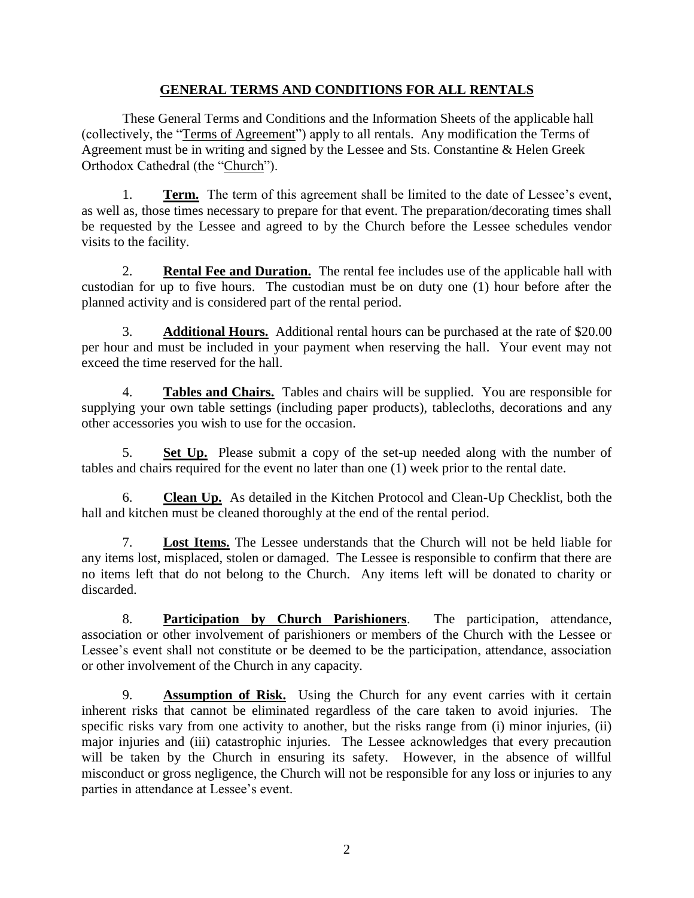## **GENERAL TERMS AND CONDITIONS FOR ALL RENTALS**

These General Terms and Conditions and the Information Sheets of the applicable hall (collectively, the "Terms of Agreement") apply to all rentals. Any modification the Terms of Agreement must be in writing and signed by the Lessee and Sts. Constantine & Helen Greek Orthodox Cathedral (the "Church").

1. **Term.** The term of this agreement shall be limited to the date of Lessee's event, as well as, those times necessary to prepare for that event. The preparation/decorating times shall be requested by the Lessee and agreed to by the Church before the Lessee schedules vendor visits to the facility.

2. **Rental Fee and Duration.** The rental fee includes use of the applicable hall with custodian for up to five hours. The custodian must be on duty one (1) hour before after the planned activity and is considered part of the rental period.

3. **Additional Hours.** Additional rental hours can be purchased at the rate of \$20.00 per hour and must be included in your payment when reserving the hall. Your event may not exceed the time reserved for the hall.

4. **Tables and Chairs.** Tables and chairs will be supplied. You are responsible for supplying your own table settings (including paper products), tablecloths, decorations and any other accessories you wish to use for the occasion.

5. **Set Up.** Please submit a copy of the set-up needed along with the number of tables and chairs required for the event no later than one (1) week prior to the rental date.

6. **Clean Up.** As detailed in the Kitchen Protocol and Clean-Up Checklist, both the hall and kitchen must be cleaned thoroughly at the end of the rental period.

7. **Lost Items.** The Lessee understands that the Church will not be held liable for any items lost, misplaced, stolen or damaged. The Lessee is responsible to confirm that there are no items left that do not belong to the Church. Any items left will be donated to charity or discarded.

8. **Participation by Church Parishioners**. The participation, attendance, association or other involvement of parishioners or members of the Church with the Lessee or Lessee's event shall not constitute or be deemed to be the participation, attendance, association or other involvement of the Church in any capacity.

9. **Assumption of Risk.** Using the Church for any event carries with it certain inherent risks that cannot be eliminated regardless of the care taken to avoid injuries. The specific risks vary from one activity to another, but the risks range from (i) minor injuries, (ii) major injuries and (iii) catastrophic injuries. The Lessee acknowledges that every precaution will be taken by the Church in ensuring its safety. However, in the absence of willful misconduct or gross negligence, the Church will not be responsible for any loss or injuries to any parties in attendance at Lessee's event.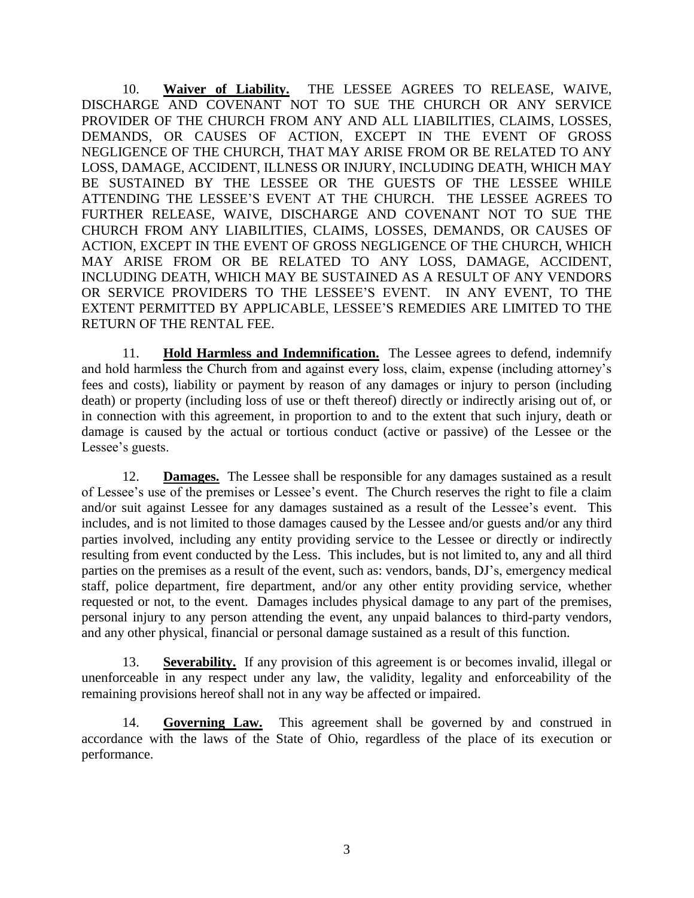10. **Waiver of Liability.** THE LESSEE AGREES TO RELEASE, WAIVE, DISCHARGE AND COVENANT NOT TO SUE THE CHURCH OR ANY SERVICE PROVIDER OF THE CHURCH FROM ANY AND ALL LIABILITIES, CLAIMS, LOSSES, DEMANDS, OR CAUSES OF ACTION, EXCEPT IN THE EVENT OF GROSS NEGLIGENCE OF THE CHURCH, THAT MAY ARISE FROM OR BE RELATED TO ANY LOSS, DAMAGE, ACCIDENT, ILLNESS OR INJURY, INCLUDING DEATH, WHICH MAY BE SUSTAINED BY THE LESSEE OR THE GUESTS OF THE LESSEE WHILE ATTENDING THE LESSEE'S EVENT AT THE CHURCH. THE LESSEE AGREES TO FURTHER RELEASE, WAIVE, DISCHARGE AND COVENANT NOT TO SUE THE CHURCH FROM ANY LIABILITIES, CLAIMS, LOSSES, DEMANDS, OR CAUSES OF ACTION, EXCEPT IN THE EVENT OF GROSS NEGLIGENCE OF THE CHURCH, WHICH MAY ARISE FROM OR BE RELATED TO ANY LOSS, DAMAGE, ACCIDENT, INCLUDING DEATH, WHICH MAY BE SUSTAINED AS A RESULT OF ANY VENDORS OR SERVICE PROVIDERS TO THE LESSEE'S EVENT. IN ANY EVENT, TO THE EXTENT PERMITTED BY APPLICABLE, LESSEE'S REMEDIES ARE LIMITED TO THE RETURN OF THE RENTAL FEE.

11. **Hold Harmless and Indemnification.** The Lessee agrees to defend, indemnify and hold harmless the Church from and against every loss, claim, expense (including attorney's fees and costs), liability or payment by reason of any damages or injury to person (including death) or property (including loss of use or theft thereof) directly or indirectly arising out of, or in connection with this agreement, in proportion to and to the extent that such injury, death or damage is caused by the actual or tortious conduct (active or passive) of the Lessee or the Lessee's guests.

12. **Damages.** The Lessee shall be responsible for any damages sustained as a result of Lessee's use of the premises or Lessee's event. The Church reserves the right to file a claim and/or suit against Lessee for any damages sustained as a result of the Lessee's event. This includes, and is not limited to those damages caused by the Lessee and/or guests and/or any third parties involved, including any entity providing service to the Lessee or directly or indirectly resulting from event conducted by the Less. This includes, but is not limited to, any and all third parties on the premises as a result of the event, such as: vendors, bands, DJ's, emergency medical staff, police department, fire department, and/or any other entity providing service, whether requested or not, to the event. Damages includes physical damage to any part of the premises, personal injury to any person attending the event, any unpaid balances to third-party vendors, and any other physical, financial or personal damage sustained as a result of this function.

13. **Severability.** If any provision of this agreement is or becomes invalid, illegal or unenforceable in any respect under any law, the validity, legality and enforceability of the remaining provisions hereof shall not in any way be affected or impaired.

14. **Governing Law.** This agreement shall be governed by and construed in accordance with the laws of the State of Ohio, regardless of the place of its execution or performance.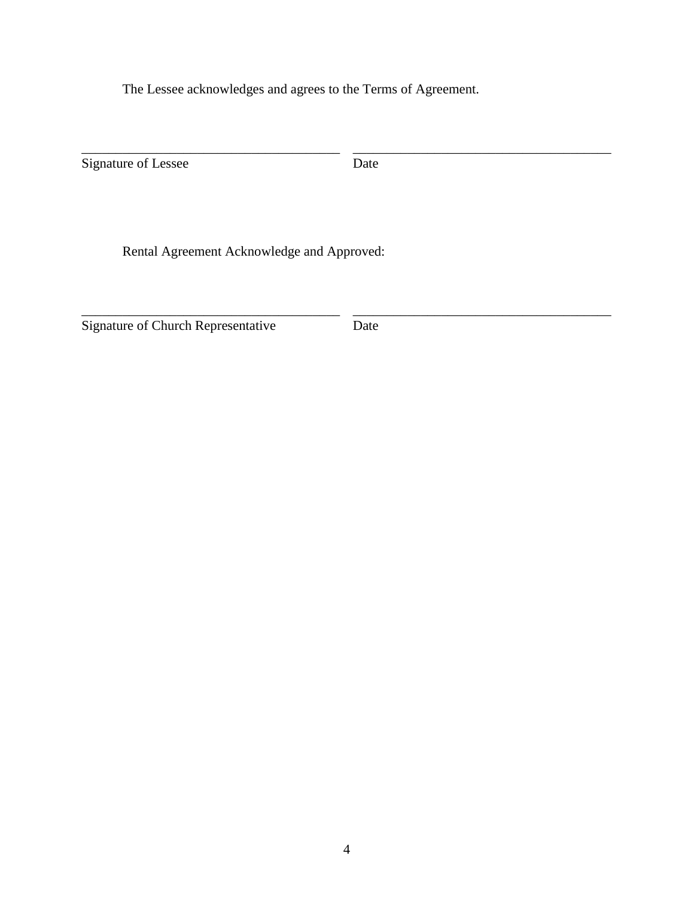The Lessee acknowledges and agrees to the Terms of Agreement.

Signature of Lessee

Date

\_\_\_\_\_\_\_\_\_\_\_\_\_\_\_\_\_\_\_\_\_\_\_\_\_\_\_\_\_\_\_\_\_\_\_\_\_\_

\_\_\_\_\_\_\_\_\_\_\_\_\_\_\_\_\_\_\_\_\_\_\_\_\_\_\_\_\_\_\_\_\_\_\_\_\_\_

Rental Agreement Acknowledge and Approved:

\_\_\_\_\_\_\_\_\_\_\_\_\_\_\_\_\_\_\_\_\_\_\_\_\_\_\_\_\_\_\_\_\_\_\_\_\_\_

\_\_\_\_\_\_\_\_\_\_\_\_\_\_\_\_\_\_\_\_\_\_\_\_\_\_\_\_\_\_\_\_\_\_\_\_\_\_

Signature of Church Representative

Date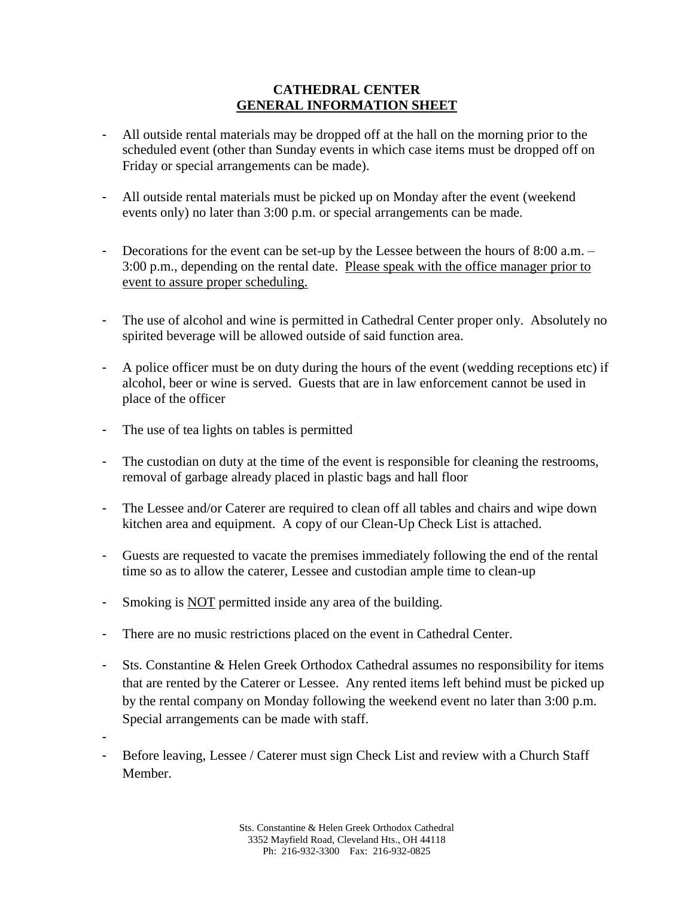#### **CATHEDRAL CENTER GENERAL INFORMATION SHEET**

- All outside rental materials may be dropped off at the hall on the morning prior to the scheduled event (other than Sunday events in which case items must be dropped off on Friday or special arrangements can be made).
- All outside rental materials must be picked up on Monday after the event (weekend events only) no later than 3:00 p.m. or special arrangements can be made.
- Decorations for the event can be set-up by the Lessee between the hours of 8:00 a.m. 3:00 p.m., depending on the rental date. Please speak with the office manager prior to event to assure proper scheduling.
- The use of alcohol and wine is permitted in Cathedral Center proper only. Absolutely no spirited beverage will be allowed outside of said function area.
- A police officer must be on duty during the hours of the event (wedding receptions etc) if alcohol, beer or wine is served. Guests that are in law enforcement cannot be used in place of the officer
- The use of tea lights on tables is permitted
- The custodian on duty at the time of the event is responsible for cleaning the restrooms, removal of garbage already placed in plastic bags and hall floor
- The Lessee and/or Caterer are required to clean off all tables and chairs and wipe down kitchen area and equipment. A copy of our Clean-Up Check List is attached.
- Guests are requested to vacate the premises immediately following the end of the rental time so as to allow the caterer, Lessee and custodian ample time to clean-up
- Smoking is **NOT** permitted inside any area of the building.
- There are no music restrictions placed on the event in Cathedral Center.
- Sts. Constantine & Helen Greek Orthodox Cathedral assumes no responsibility for items that are rented by the Caterer or Lessee. Any rented items left behind must be picked up by the rental company on Monday following the weekend event no later than 3:00 p.m. Special arrangements can be made with staff.
- -
- Before leaving, Lessee / Caterer must sign Check List and review with a Church Staff Member.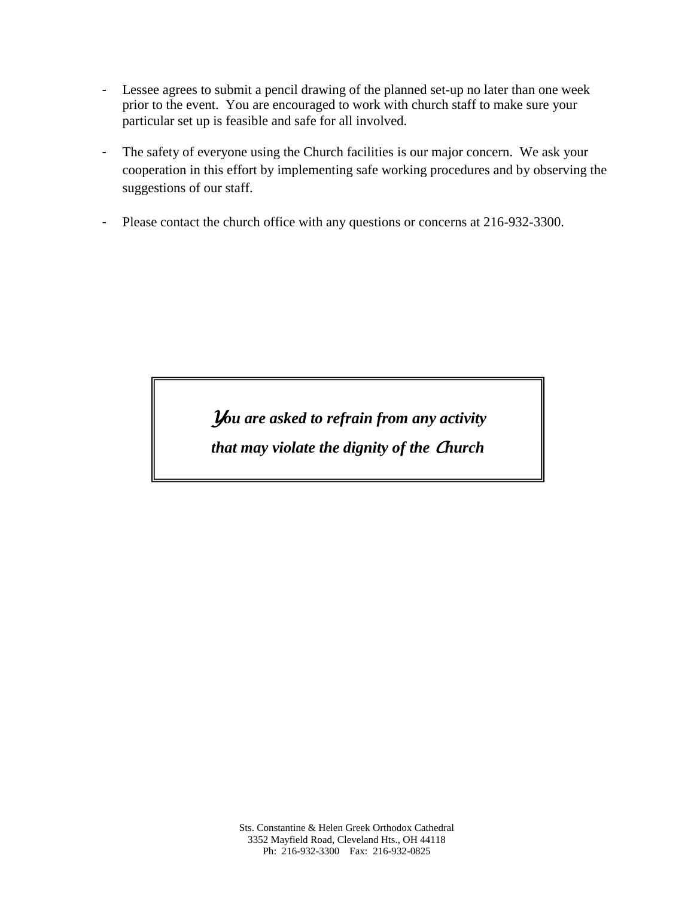- Lessee agrees to submit a pencil drawing of the planned set-up no later than one week prior to the event. You are encouraged to work with church staff to make sure your particular set up is feasible and safe for all involved.
- The safety of everyone using the Church facilities is our major concern. We ask your cooperation in this effort by implementing safe working procedures and by observing the suggestions of our staff.
- Please contact the church office with any questions or concerns at 216-932-3300.

*You are asked to refrain from any activity that may violate the dignity of the Church*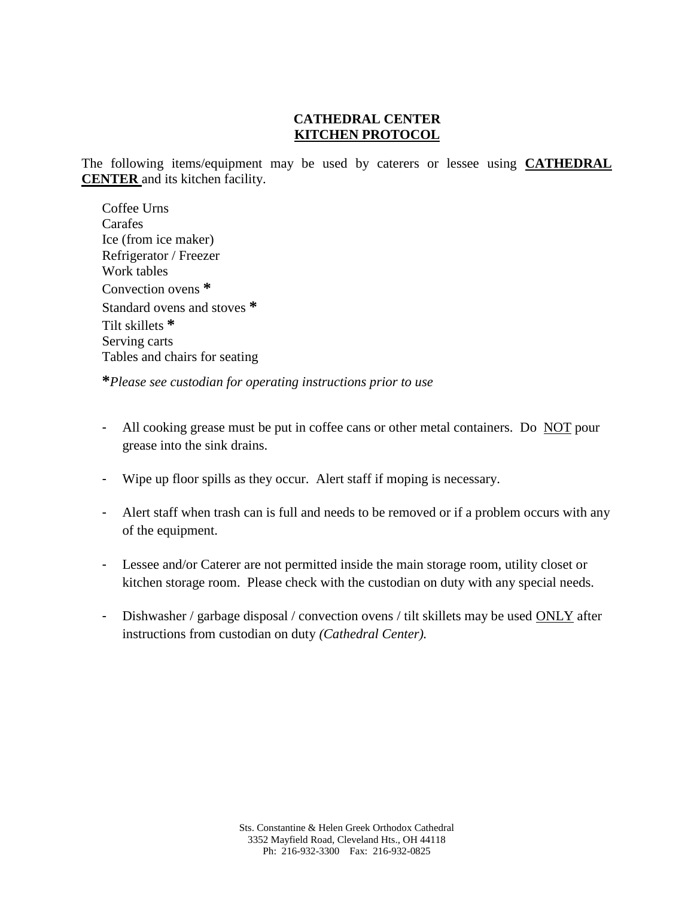# **CATHEDRAL CENTER KITCHEN PROTOCOL**

The following items/equipment may be used by caterers or lessee using **CATHEDRAL CENTER** and its kitchen facility.

Coffee Urns Carafes Ice (from ice maker) Refrigerator / Freezer Work tables Convection ovens **\*** Standard ovens and stoves **\*** Tilt skillets **\*** Serving carts Tables and chairs for seating

**\****Please see custodian for operating instructions prior to use*

- All cooking grease must be put in coffee cans or other metal containers. Do NOT pour grease into the sink drains.
- Wipe up floor spills as they occur. Alert staff if moping is necessary.
- Alert staff when trash can is full and needs to be removed or if a problem occurs with any of the equipment.
- Lessee and/or Caterer are not permitted inside the main storage room, utility closet or kitchen storage room. Please check with the custodian on duty with any special needs.
- Dishwasher / garbage disposal / convection ovens / tilt skillets may be used ONLY after instructions from custodian on duty *(Cathedral Center).*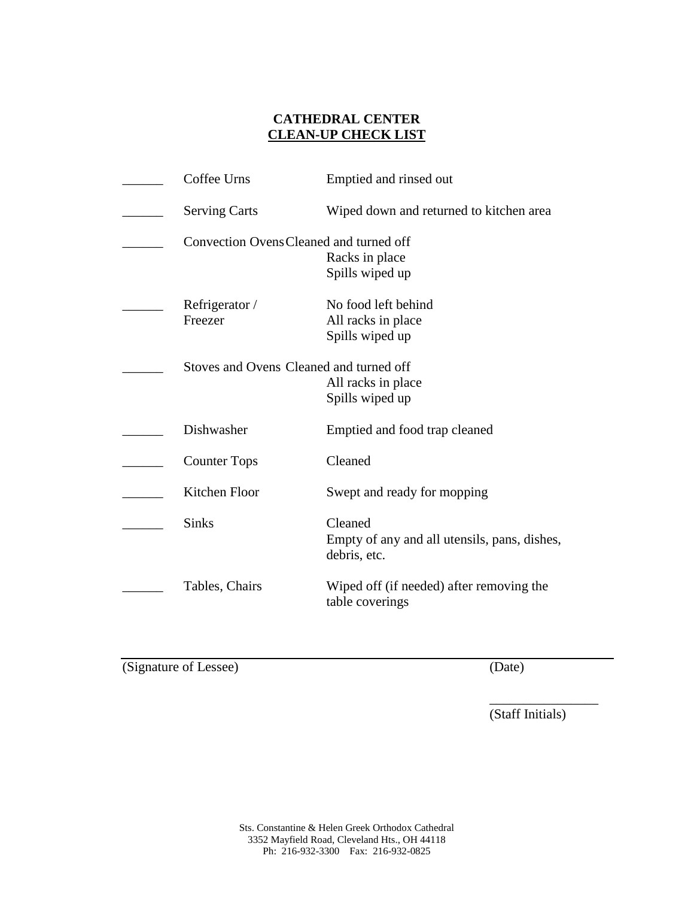### **CATHEDRAL CENTER CLEAN-UP CHECK LIST**

| Coffee Urns                             | Emptied and rinsed out                                                  |
|-----------------------------------------|-------------------------------------------------------------------------|
| <b>Serving Carts</b>                    | Wiped down and returned to kitchen area                                 |
| Convection Ovens Cleaned and turned off | Racks in place                                                          |
|                                         | Spills wiped up                                                         |
| Refrigerator /<br>Freezer               | No food left behind<br>All racks in place<br>Spills wiped up            |
| Stoves and Ovens Cleaned and turned off | All racks in place<br>Spills wiped up                                   |
| Dishwasher                              | Emptied and food trap cleaned                                           |
| <b>Counter Tops</b>                     | Cleaned                                                                 |
| Kitchen Floor                           | Swept and ready for mopping                                             |
| <b>Sinks</b>                            | Cleaned<br>Empty of any and all utensils, pans, dishes,<br>debris, etc. |
| Tables, Chairs                          | Wiped off (if needed) after removing the<br>table coverings             |

(Signature of Lessee) (Date)

(Staff Initials)

\_\_\_\_\_\_\_\_\_\_\_\_\_\_\_\_